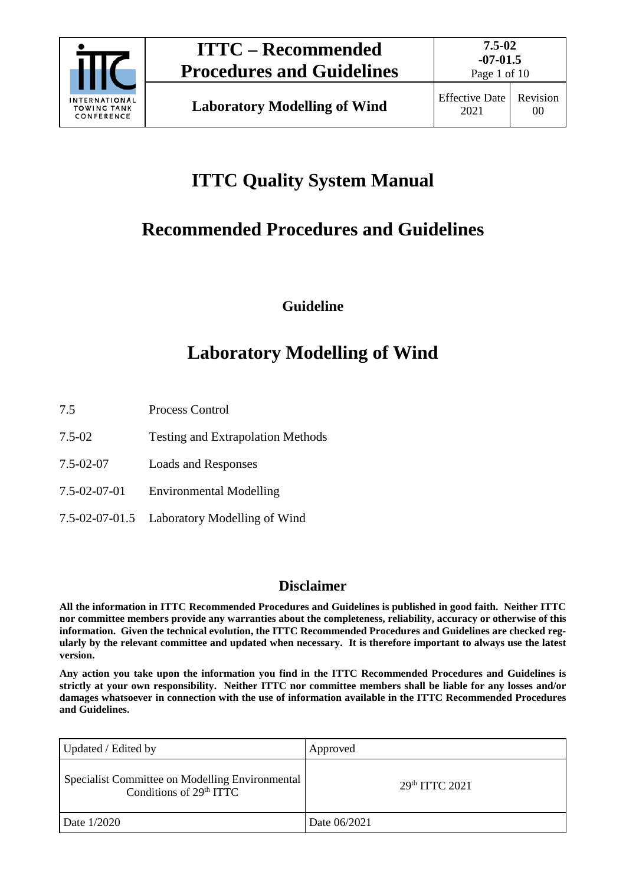

Page 1 of 10

# **ITTC Quality System Manual**

## **Recommended Procedures and Guidelines**

**Guideline**

## **Laboratory Modelling of Wind**

7.5 Process Control

- 7.5-02 Testing and Extrapolation Methods
- 7.5-02-07 Loads and Responses
- 7.5-02-07-01 Environmental Modelling
- 7.5-02-07-01.5 Laboratory Modelling of Wind

### **Disclaimer**

**All the information in ITTC Recommended Procedures and Guidelines is published in good faith. Neither ITTC nor committee members provide any warranties about the completeness, reliability, accuracy or otherwise of this information. Given the technical evolution, the ITTC Recommended Procedures and Guidelines are checked regularly by the relevant committee and updated when necessary. It is therefore important to always use the latest version.**

**Any action you take upon the information you find in the ITTC Recommended Procedures and Guidelines is strictly at your own responsibility. Neither ITTC nor committee members shall be liable for any losses and/or damages whatsoever in connection with the use of information available in the ITTC Recommended Procedures and Guidelines.**

| Updated / Edited by                                                          | Approved       |
|------------------------------------------------------------------------------|----------------|
| Specialist Committee on Modelling Environmental<br>Conditions of $29th ITTC$ | 29th ITTC 2021 |
| Date 1/2020                                                                  | Date 06/2021   |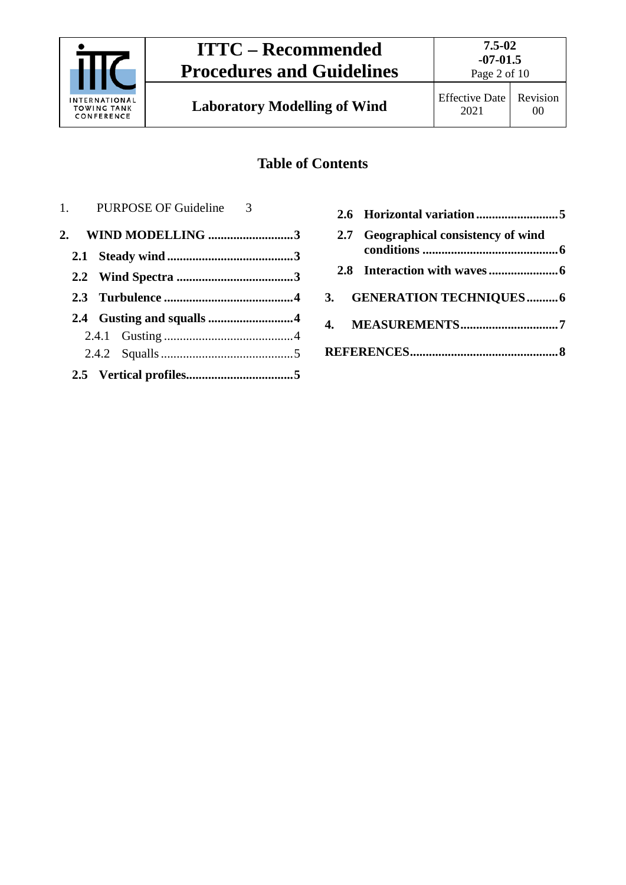

**Laboratory Modelling of Wind** Effective Date

## **Table of Contents**

| 1. PURPOSE OF Guideline 3 |  |
|---------------------------|--|
| 2. WIND MODELLING 3       |  |
|                           |  |
|                           |  |
|                           |  |
|                           |  |
|                           |  |
|                           |  |
|                           |  |

|  | 2.7 Geographical consistency of wind |  |
|--|--------------------------------------|--|
|  |                                      |  |
|  | 3. GENERATION TECHNIQUES6            |  |
|  | 4. MEASUREMENTS7                     |  |
|  |                                      |  |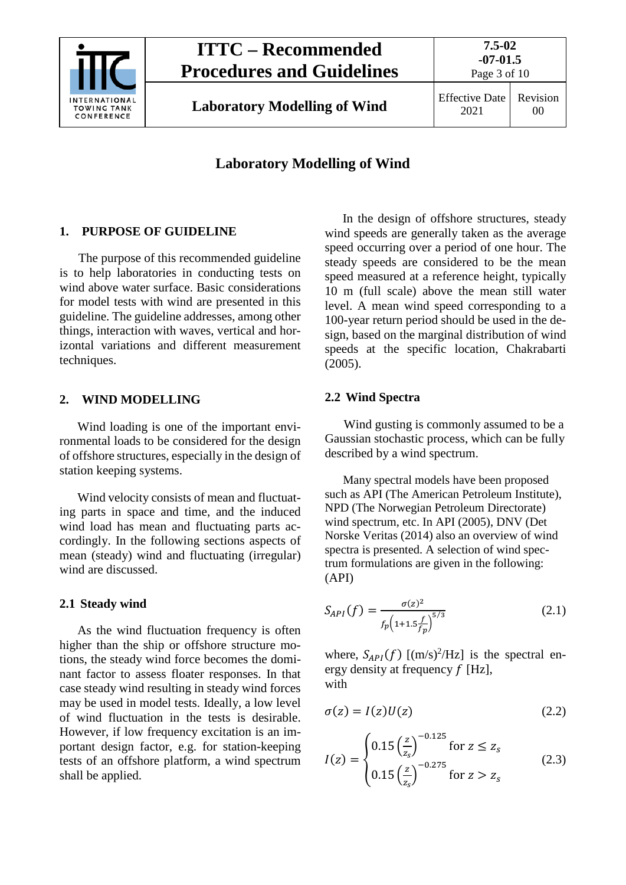

## **Laboratory Modelling of Wind**

### <span id="page-2-0"></span>**1. PURPOSE OF GUIDELINE**

The purpose of this recommended guideline is to help laboratories in conducting tests on wind above water surface. Basic considerations for model tests with wind are presented in this guideline. The guideline addresses, among other things, interaction with waves, vertical and horizontal variations and different measurement techniques.

#### <span id="page-2-1"></span>**2. WIND MODELLING**

Wind loading is one of the important environmental loads to be considered for the design of offshore structures, especially in the design of station keeping systems.

Wind velocity consists of mean and fluctuating parts in space and time, and the induced wind load has mean and fluctuating parts accordingly. In the following sections aspects of mean (steady) wind and fluctuating (irregular) wind are discussed.

### <span id="page-2-2"></span>**2.1 Steady wind**

As the wind fluctuation frequency is often higher than the ship or offshore structure motions, the steady wind force becomes the dominant factor to assess floater responses. In that case steady wind resulting in steady wind forces may be used in model tests. Ideally, a low level of wind fluctuation in the tests is desirable. However, if low frequency excitation is an important design factor, e.g. for station-keeping tests of an offshore platform, a wind spectrum shall be applied.

In the design of offshore structures, steady wind speeds are generally taken as the average speed occurring over a period of one hour. The steady speeds are considered to be the mean speed measured at a reference height, typically 10 m (full scale) above the mean still water level. A mean wind speed corresponding to a 100-year return period should be used in the design, based on the marginal distribution of wind speeds at the specific location, Chakrabarti (2005).

#### <span id="page-2-3"></span>**2.2 Wind Spectra**

Wind gusting is commonly assumed to be a Gaussian stochastic process, which can be fully described by a wind spectrum.

Many spectral models have been proposed such as API (The American Petroleum Institute), NPD (The Norwegian Petroleum Directorate) wind spectrum, etc. In API (2005), DNV (Det Norske Veritas (2014) also an overview of wind spectra is presented. A selection of wind spectrum formulations are given in the following: (API)

$$
S_{API}(f) = \frac{\sigma(z)^2}{f_p \left(1 + 1.5 \frac{f}{f_p}\right)^{5/3}}
$$
\n(2.1)

where,  $S_{API}(f)$  [(m/s)<sup>2</sup>/Hz] is the spectral energy density at frequency  $f$  [Hz], with

$$
\sigma(z) = I(z)U(z) \tag{2.2}
$$

$$
I(z) = \begin{cases} 0.15 \left(\frac{z}{z_s}\right)^{-0.125} & \text{for } z \le z_s\\ 0.15 \left(\frac{z}{z_s}\right)^{-0.275} & \text{for } z > z_s \end{cases}
$$
(2.3)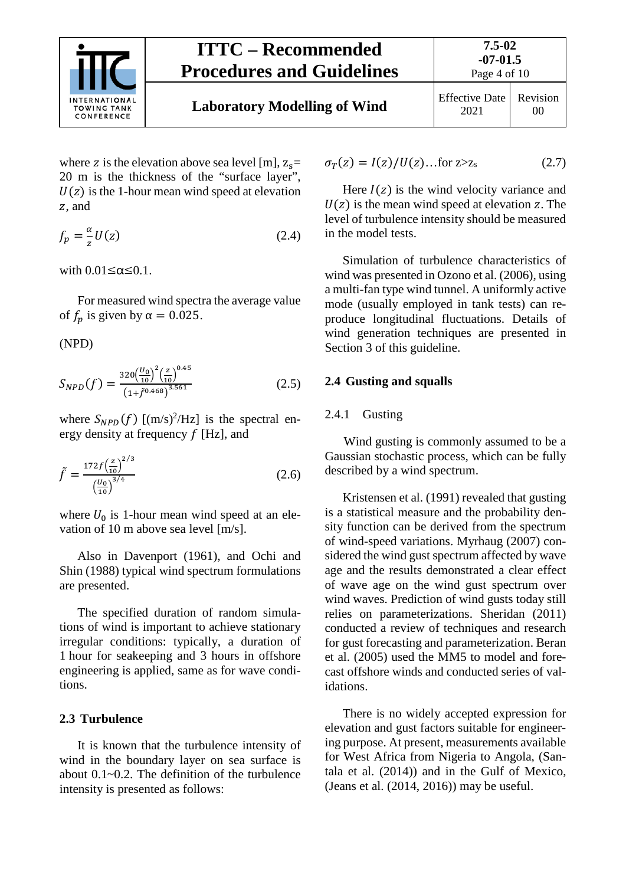

Page 4 of 10

where z is the elevation above sea level [m],  $z_s$ = 20 m is the thickness of the "surface layer",  $U(z)$  is the 1-hour mean wind speed at elevation z, and

$$
f_p = -\frac{\alpha}{z} U(z) \tag{2.4}
$$

with  $0.01 \leq \alpha \leq 0.1$ .

For measured wind spectra the average value of  $f_n$  is given by  $\alpha = 0.025$ .

(NPD)

$$
S_{NPD}(f) = \frac{320 \left(\frac{U_0}{10}\right)^2 \left(\frac{z}{10}\right)^{0.45}}{\left(1 + \tilde{f}^{0.468}\right)^{3.561}}\tag{2.5}
$$

where  $S_{NPD}(f)$  [(m/s)<sup>2</sup>/Hz] is the spectral energy density at frequency  $f$  [Hz], and

$$
\tilde{f} = \frac{172f\left(\frac{z}{10}\right)^{2/3}}{\left(\frac{U_0}{10}\right)^{3/4}}
$$
\n(2.6)

where  $U_0$  is 1-hour mean wind speed at an elevation of 10 m above sea level [m/s].

Also in Davenport (1961), and Ochi and Shin (1988) typical wind spectrum formulations are presented.

The specified duration of random simulations of wind is important to achieve stationary irregular conditions: typically, a duration of 1 hour for seakeeping and 3 hours in offshore engineering is applied, same as for wave conditions.

#### <span id="page-3-0"></span>**2.3 Turbulence**

It is known that the turbulence intensity of wind in the boundary layer on sea surface is about 0.1~0.2. The definition of the turbulence intensity is presented as follows:

$$
\sigma_T(z) = I(z)/U(z) \dots \text{for } z > z_s \tag{2.7}
$$

Here  $I(z)$  is the wind velocity variance and  $U(z)$  is the mean wind speed at elevation z. The level of turbulence intensity should be measured in the model tests.

Simulation of turbulence characteristics of wind was presented in Ozono et al. (2006), using a multi-fan type wind tunnel. A uniformly active mode (usually employed in tank tests) can reproduce longitudinal fluctuations. Details of wind generation techniques are presented in Section 3 of this guideline.

#### <span id="page-3-2"></span><span id="page-3-1"></span>**2.4 Gusting and squalls**

#### 2.4.1 Gusting

Wind gusting is commonly assumed to be a Gaussian stochastic process, which can be fully described by a wind spectrum.

Kristensen et al. (1991) revealed that gusting is a statistical measure and the probability density function can be derived from the spectrum of wind-speed variations. Myrhaug (2007) considered the wind gust spectrum affected by wave age and the results demonstrated a clear effect of wave age on the wind gust spectrum over wind waves. Prediction of wind gusts today still relies on parameterizations. Sheridan (2011) conducted a review of techniques and research for gust forecasting and parameterization. Beran et al. (2005) used the MM5 to model and forecast offshore winds and conducted series of validations.

There is no widely accepted expression for elevation and gust factors suitable for engineering purpose. At present, measurements available for West Africa from Nigeria to Angola, (Santala et al. (2014)) and in the Gulf of Mexico, (Jeans et al. (2014, 2016)) may be useful.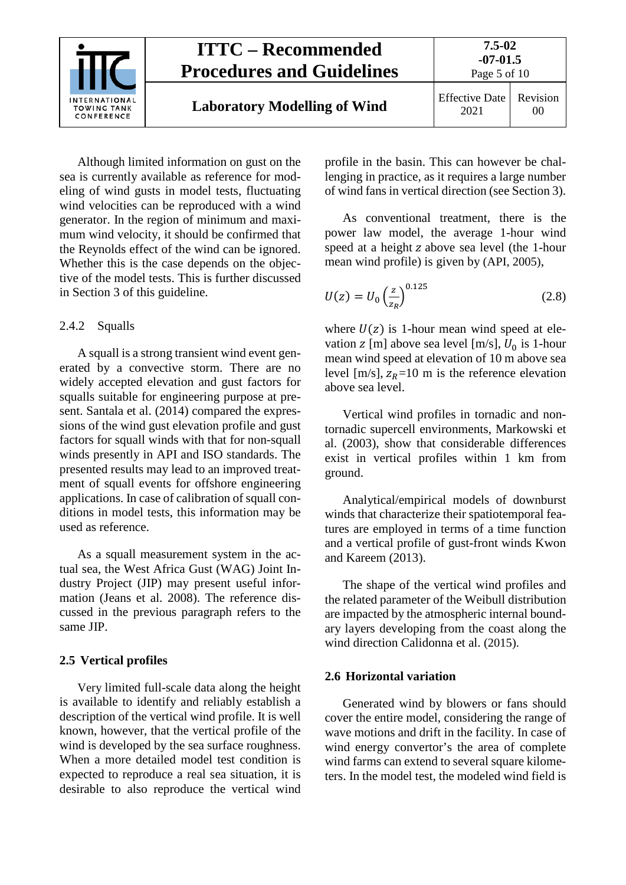

Although limited information on gust on the sea is currently available as reference for modeling of wind gusts in model tests, fluctuating wind velocities can be reproduced with a wind generator. In the region of minimum and maximum wind velocity, it should be confirmed that the Reynolds effect of the wind can be ignored. Whether this is the case depends on the objective of the model tests. This is further discussed in Section 3 of this guideline.

#### <span id="page-4-0"></span>2.4.2 Squalls

A squall is a strong transient wind event generated by a convective storm. There are no widely accepted elevation and gust factors for squalls suitable for engineering purpose at present. Santala et al. (2014) compared the expressions of the wind gust elevation profile and gust factors for squall winds with that for non-squall winds presently in API and ISO standards. The presented results may lead to an improved treatment of squall events for offshore engineering applications. In case of calibration of squall conditions in model tests, this information may be used as reference.

As a squall measurement system in the actual sea, the West Africa Gust (WAG) Joint Industry Project (JIP) may present useful information (Jeans et al. 2008). The reference discussed in the previous paragraph refers to the same JIP.

### <span id="page-4-1"></span>**2.5 Vertical profiles**

Very limited full-scale data along the height is available to identify and reliably establish a description of the vertical wind profile. It is well known, however, that the vertical profile of the wind is developed by the sea surface roughness. When a more detailed model test condition is expected to reproduce a real sea situation, it is desirable to also reproduce the vertical wind profile in the basin. This can however be challenging in practice, as it requires a large number of wind fans in vertical direction (see Section 3).

As conventional treatment, there is the power law model, the average 1-hour wind speed at a height z above sea level (the 1-hour mean wind profile) is given by (API, 2005),

$$
U(z) = U_0 \left(\frac{z}{z_R}\right)^{0.125}
$$
 (2.8)

where  $U(z)$  is 1-hour mean wind speed at elevation z [m] above sea level [m/s],  $U_0$  is 1-hour mean wind speed at elevation of 10 m above sea level [m/s],  $z_R$ =10 m is the reference elevation above sea level.

Vertical wind profiles in tornadic and nontornadic supercell environments, Markowski et al. (2003), show that considerable differences exist in vertical profiles within 1 km from ground.

Analytical/empirical models of downburst winds that characterize their spatiotemporal features are employed in terms of a time function and a vertical profile of gust-front winds Kwon and Kareem (2013).

The shape of the vertical wind profiles and the related parameter of the Weibull distribution are impacted by the atmospheric internal boundary layers developing from the coast along the wind direction Calidonna et al. (2015).

### <span id="page-4-2"></span>**2.6 Horizontal variation**

Generated wind by blowers or fans should cover the entire model, considering the range of wave motions and drift in the facility. In case of wind energy convertor's the area of complete wind farms can extend to several square kilometers. In the model test, the modeled wind field is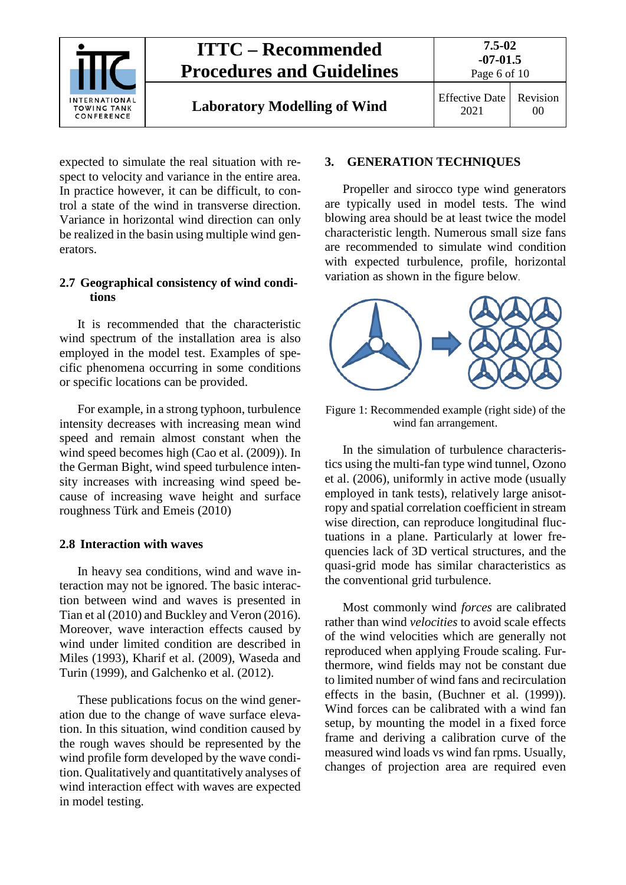

## **ITTC – Recommended Procedures and Guidelines**

**Laboratory Modelling of Wind** Effective Date

expected to simulate the real situation with respect to velocity and variance in the entire area. In practice however, it can be difficult, to control a state of the wind in transverse direction. Variance in horizontal wind direction can only be realized in the basin using multiple wind generators.

### <span id="page-5-0"></span>**2.7 Geographical consistency of wind conditions**

It is recommended that the characteristic wind spectrum of the installation area is also employed in the model test. Examples of specific phenomena occurring in some conditions or specific locations can be provided.

For example, in a strong typhoon, turbulence intensity decreases with increasing mean wind speed and remain almost constant when the wind speed becomes high (Cao et al. (2009)). In the German Bight, wind speed turbulence intensity increases with increasing wind speed because of increasing wave height and surface roughness Türk and Emeis (2010)

### <span id="page-5-1"></span>**2.8 Interaction with waves**

In heavy sea conditions, wind and wave interaction may not be ignored. The basic interaction between wind and waves is presented in Tian et al (2010) and Buckley and Veron (2016). Moreover, wave interaction effects caused by wind under limited condition are described in Miles (1993), Kharif et al. (2009), Waseda and Turin (1999), and Galchenko et al. (2012).

These publications focus on the wind generation due to the change of wave surface elevation. In this situation, wind condition caused by the rough waves should be represented by the wind profile form developed by the wave condition. Qualitatively and quantitatively analyses of wind interaction effect with waves are expected in model testing.

### <span id="page-5-2"></span>**3. GENERATION TECHNIQUES**

Propeller and sirocco type wind generators are typically used in model tests. The wind blowing area should be at least twice the model characteristic length. Numerous small size fans are recommended to simulate wind condition with expected turbulence, profile, horizontal variation as shown in the figure below.



Figure 1: Recommended example (right side) of the wind fan arrangement.

In the simulation of turbulence characteristics using the multi-fan type wind tunnel, Ozono et al. (2006), uniformly in active mode (usually employed in tank tests), relatively large anisotropy and spatial correlation coefficient in stream wise direction, can reproduce longitudinal fluctuations in a plane. Particularly at lower frequencies lack of 3D vertical structures, and the quasi-grid mode has similar characteristics as the conventional grid turbulence.

Most commonly wind *forces* are calibrated rather than wind *velocities* to avoid scale effects of the wind velocities which are generally not reproduced when applying Froude scaling. Furthermore, wind fields may not be constant due to limited number of wind fans and recirculation effects in the basin, (Buchner et al. (1999)). Wind forces can be calibrated with a wind fan setup, by mounting the model in a fixed force frame and deriving a calibration curve of the measured wind loads vs wind fan rpms. Usually, changes of projection area are required even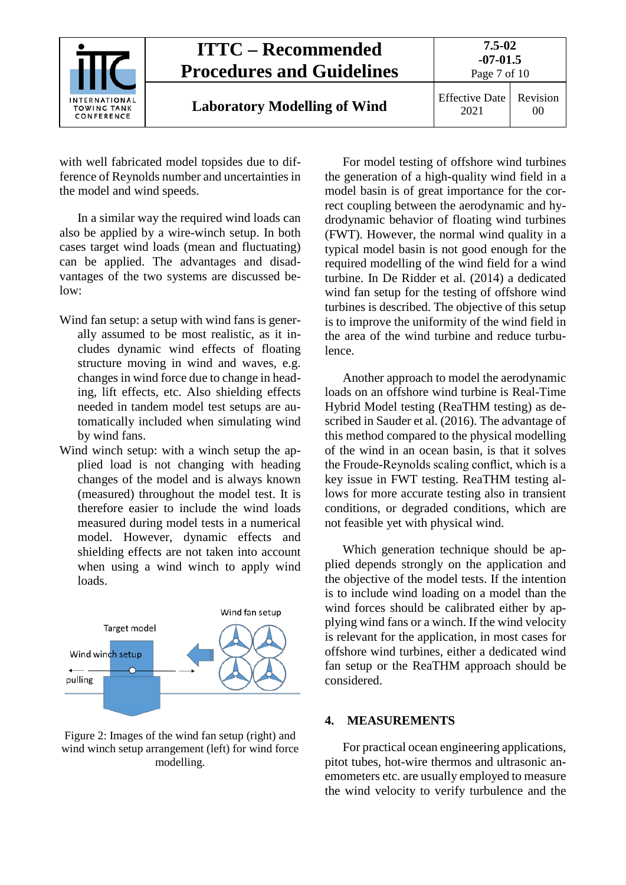| <b>INTERNATIONAL</b><br>TOWING TANK<br>CONFERENCE | <b>ITTC – Recommended</b><br><b>Procedures and Guidelines</b> | 7.5-02<br>$-07-01.5$<br>Page 7 of 10 |                |
|---------------------------------------------------|---------------------------------------------------------------|--------------------------------------|----------------|
|                                                   | <b>Laboratory Modelling of Wind</b>                           | <b>Effective Date</b><br>2021        | Revision<br>00 |

with well fabricated model topsides due to difference of Reynolds number and uncertainties in the model and wind speeds.

In a similar way the required wind loads can also be applied by a wire-winch setup. In both cases target wind loads (mean and fluctuating) can be applied. The advantages and disadvantages of the two systems are discussed below:

- Wind fan setup: a setup with wind fans is generally assumed to be most realistic, as it includes dynamic wind effects of floating structure moving in wind and waves, e.g. changes in wind force due to change in heading, lift effects, etc. Also shielding effects needed in tandem model test setups are automatically included when simulating wind by wind fans.
- Wind winch setup: with a winch setup the applied load is not changing with heading changes of the model and is always known (measured) throughout the model test. It is therefore easier to include the wind loads measured during model tests in a numerical model. However, dynamic effects and shielding effects are not taken into account when using a wind winch to apply wind loads.



Figure 2: Images of the wind fan setup (right) and wind winch setup arrangement (left) for wind force modelling.

For model testing of offshore wind turbines the generation of a high-quality wind field in a model basin is of great importance for the correct coupling between the aerodynamic and hydrodynamic behavior of floating wind turbines (FWT). However, the normal wind quality in a typical model basin is not good enough for the required modelling of the wind field for a wind turbine. In De Ridder et al. (2014) a dedicated wind fan setup for the testing of offshore wind turbines is described. The objective of this setup is to improve the uniformity of the wind field in the area of the wind turbine and reduce turbulence.

Another approach to model the aerodynamic loads on an offshore wind turbine is Real-Time Hybrid Model testing (ReaTHM testing) as described in Sauder et al. (2016). The advantage of this method compared to the physical modelling of the wind in an ocean basin, is that it solves the Froude-Reynolds scaling conflict, which is a key issue in FWT testing. ReaTHM testing allows for more accurate testing also in transient conditions, or degraded conditions, which are not feasible yet with physical wind.

Which generation technique should be applied depends strongly on the application and the objective of the model tests. If the intention is to include wind loading on a model than the wind forces should be calibrated either by applying wind fans or a winch. If the wind velocity is relevant for the application, in most cases for offshore wind turbines, either a dedicated wind fan setup or the ReaTHM approach should be considered.

#### <span id="page-6-0"></span>**4. MEASUREMENTS**

For practical ocean engineering applications, pitot tubes, hot-wire thermos and ultrasonic anemometers etc. are usually employed to measure the wind velocity to verify turbulence and the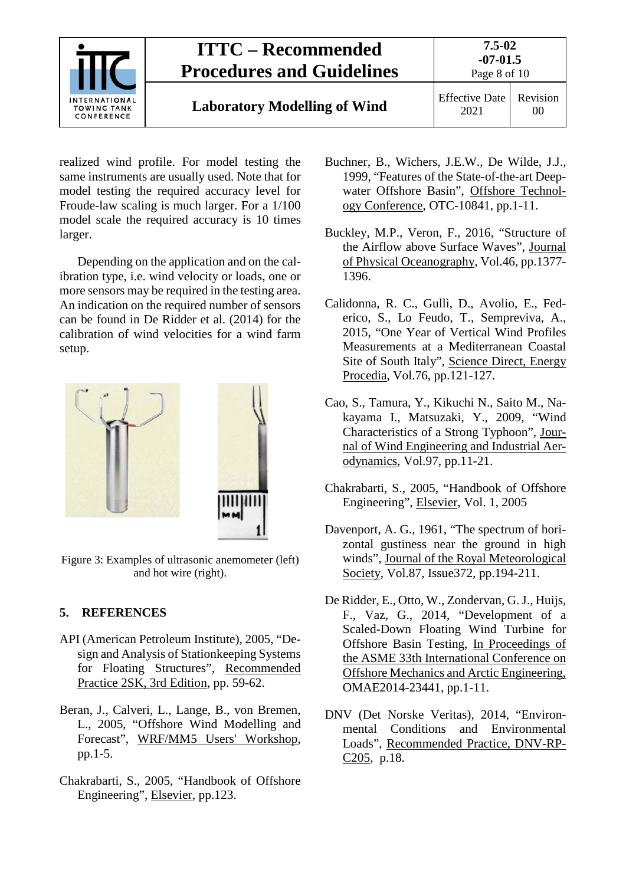

## **Laboratory Modelling of Wind** Effective Date

2021 Revision 00

realized wind profile. For model testing the same instruments are usually used. Note that for model testing the required accuracy level for Froude-law scaling is much larger. For a 1/100 model scale the required accuracy is 10 times larger.

Depending on the application and on the calibration type, i.e. wind velocity or loads, one or more sensors may be required in the testing area. An indication on the required number of sensors can be found in De Ridder et al. (2014) for the calibration of wind velocities for a wind farm setup.



Figure 3: Examples of ultrasonic anemometer (left) and hot wire (right).

### <span id="page-7-0"></span>**5. REFERENCES**

- API (American Petroleum Institute), 2005, "Design and Analysis of Stationkeeping Systems for Floating Structures", Recommended Practice 2SK, 3rd Edition, pp. 59-62.
- Beran, J., Calveri, L., Lange, B., von Bremen, L., 2005, "Offshore Wind Modelling and Forecast", WRF/MM5 Users' Workshop, pp.1-5.
- Chakrabarti, S., 2005, "Handbook of Offshore Engineering", Elsevier, pp.123.
- Buchner, B., Wichers, J.E.W., De Wilde, J.J., 1999, "Features of the State-of-the-art Deepwater Offshore Basin", Offshore Technology Conference, OTC-10841, pp.1-11.
- Buckley, M.P., Veron, F., 2016, "Structure of the Airflow above Surface Waves", Journal of Physical Oceanography, Vol.46, pp.1377- 1396.
- Calidonna, R. C., Gullì, D., Avolio, E., Federico, S., Lo Feudo, T., Sempreviva, A., 2015, "One Year of Vertical Wind Profiles Measurements at a Mediterranean Coastal Site of South Italy", Science Direct, Energy Procedia, Vol.76, pp.121-127.
- Cao, S., Tamura, Y., Kikuchi N., Saito M., Nakayama I., Matsuzaki, Y., 2009, "Wind Characteristics of a Strong Typhoon", Journal of Wind Engineering and Industrial Aerodynamics, Vol.97, pp.11-21.
- Chakrabarti, S., 2005, "Handbook of Offshore Engineering", Elsevier, Vol. 1, 2005
- Davenport, A. G., 1961, "The spectrum of horizontal gustiness near the ground in high winds", Journal of the Royal Meteorological Society, Vol.87, Issue372, pp.194-211.
- De Ridder, E., Otto, W., Zondervan, G. J., Huijs, F., Vaz, G., 2014, "Development of a Scaled-Down Floating Wind Turbine for Offshore Basin Testing, In Proceedings of the ASME 33th International Conference on Offshore Mechanics and Arctic Engineering, OMAE2014-23441, pp.1-11.
- DNV (Det Norske Veritas), 2014, "Environmental Conditions and Environmental Loads", Recommended Practice, DNV-RP-C205, p.18.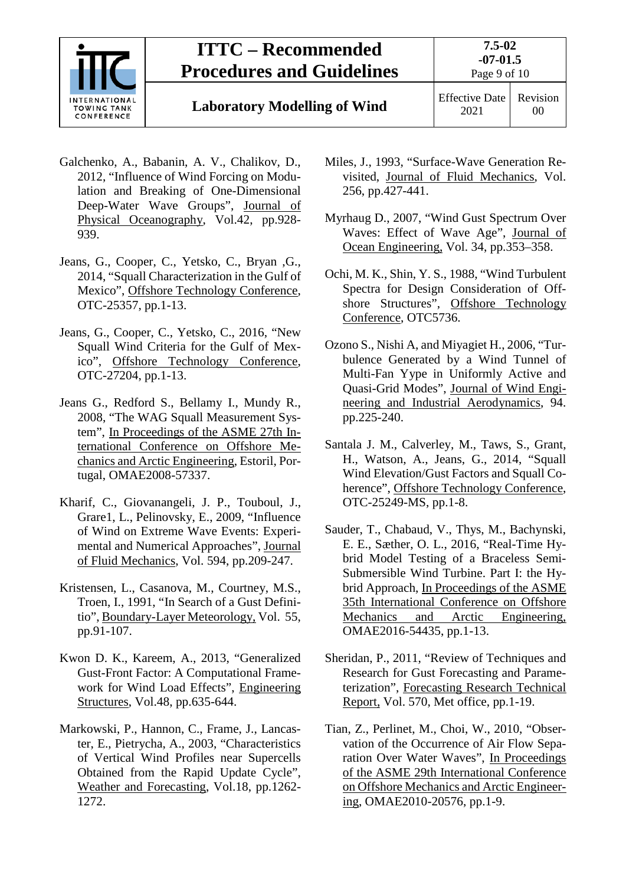

## **ITTC – Recommended Procedures and Guidelines**

## **Laboratory Modelling of Wind** Effective Date

- Galchenko, A., Babanin, A. V., Chalikov, D., 2012, "Influence of Wind Forcing on Modulation and Breaking of One-Dimensional Deep-Water Wave Groups", <u>Journal of</u> Physical Oceanography, Vol.42, pp.928- 939.
- Jeans, G., Cooper, C., Yetsko, C., Bryan ,G., 2014, "Squall Characterization in the Gulf of Mexico", Offshore Technology Conference, OTC-25357, pp.1-13.
- Jeans, G., Cooper, C., Yetsko, C., 2016, "New Squall Wind Criteria for the Gulf of Mexico", Offshore Technology Conference, OTC-27204, pp.1-13.
- Jeans G., Redford S., Bellamy I., Mundy R., 2008, "The WAG Squall Measurement System", In Proceedings of the ASME 27th International Conference on Offshore Mechanics and Arctic Engineering, Estoril, Portugal, OMAE2008-57337.
- Kharif, C., Giovanangeli, J. P., Touboul, J., Grare1, L., Pelinovsky, E., 2009, "Influence of Wind on Extreme Wave Events: Experimental and Numerical Approaches", Journal of Fluid Mechanics, Vol. 594, pp.209-247.
- Kristensen, L., Casanova, M., Courtney, M.S., Troen, I., 1991, "In Search of a Gust Definitio", Boundary-Layer Meteorology, Vol. 55, pp.91-107.
- Kwon D. K., Kareem, A., 2013, "Generalized Gust-Front Factor: A Computational Framework for Wind Load Effects", Engineering Structures, Vol.48, pp.635-644.
- Markowski, P., Hannon, C., Frame, J., Lancaster, E., Pietrycha, A., 2003, "Characteristics of Vertical Wind Profiles near Supercells Obtained from the Rapid Update Cycle", Weather and Forecasting, Vol.18, pp.1262- 1272.
- Miles, J., 1993, "Surface-Wave Generation Revisited, Journal of Fluid Mechanics, Vol. 256, pp.427-441.
- Myrhaug D., 2007, "Wind Gust Spectrum Over Waves: Effect of Wave Age", Journal of Ocean Engineering, Vol. 34, pp.353–358.
- Ochi, M. K., Shin, Y. S., 1988, "Wind Turbulent Spectra for Design Consideration of Offshore Structures", Offshore Technology Conference, OTC5736.
- Ozono S., Nishi A, and Miyagiet H., 2006, "Turbulence Generated by a Wind Tunnel of Multi-Fan Yype in Uniformly Active and Quasi-Grid Modes", Journal of Wind Engineering and Industrial Aerodynamics, 94. pp.225-240.
- Santala J. M., Calverley, M., Taws, S., Grant, H., Watson, A., Jeans, G., 2014, "Squall Wind Elevation/Gust Factors and Squall Coherence", Offshore Technology Conference, OTC-25249-MS, pp.1-8.
- Sauder, T., Chabaud, V., Thys, M., Bachynski, E. E., Sæther, O. L., 2016, "Real-Time Hybrid Model Testing of a Braceless Semi-Submersible Wind Turbine. Part I: the Hybrid Approach, In Proceedings of the ASME 35th International Conference on Offshore Mechanics and Arctic Engineering, OMAE2016-54435, pp.1-13.
- Sheridan, P., 2011, "Review of Techniques and Research for Gust Forecasting and Parameterization", Forecasting Research Technical Report, Vol. 570, Met office, pp.1-19.
- Tian, Z., Perlinet, M., Choi, W., 2010, "Observation of the Occurrence of Air Flow Separation Over Water Waves", In Proceedings of the ASME 29th International Conference on Offshore Mechanics and Arctic Engineering, OMAE2010-20576, pp.1-9.